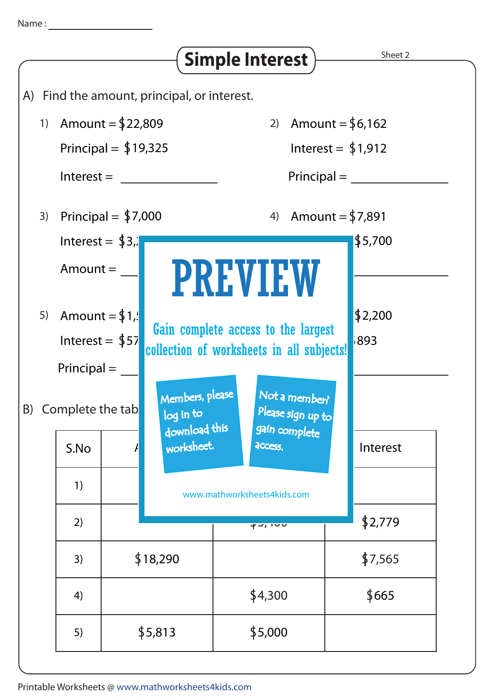